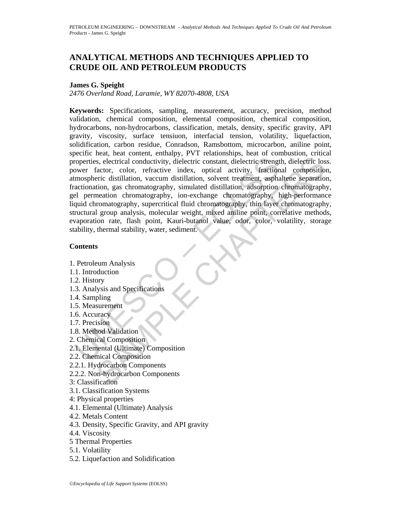# **ANALYTICAL METHODS AND TECHNIQUES APPLIED TO CRUDE OIL AND PETROLEUM PRODUCTS**

# **James G. Speight**

*2476 Overland Road, Laramie, WY 82070-4808, USA* 

roperties, electrical conductivity, dielectric constant, dielectric strengt<br>
over factor, color, refractive index, optical activity, fraction<br>
mospheric distillation, vaccum distillation, solvent treatment, as<br>
phase actio Example, via concern, via any apply, 1 and the control of the control of the section of the scheme (section, color, refractive index, optical activity, fractional composition<br>actor, color, refractive index, optical activit **Keywords:** Specifications, sampling, measurement, accuracy, precision, method validation, chemical composition, elemental composition, chemical composition, hydrocarbons, non-hydrocarbons, classification, metals, density, specific gravity, API gravity, viscosity, surface tensiuon, interfacial tension, volatility, liquefaction, solidification, carbon residue, Conradson, Ramsbottom, microcarbon, aniline point, specific heat, heat content, enthalpy, PVT relationships, heat of combustion, critical properties, electrical conductivity, dielectric constant, dielectric strength, dielectric loss. power factor, color, refractive index, optical activity, fractional composition, atmospheric distillation, vaccum distillation, solvent treatment, asphaltene separation, fractionation, gas chromatography, simulated distillation, adsorption chromatography, gel permeation chromatography, ion-exchange chromatography, high-performance liquid chromatography, supercritical fluid chromatography, thin layer chromatography, structural group analysis, molecular weight, mixed aniline point, correlative methods, evaporation rate, flash point, Kauri-butanol value, odor, color, volatility, storage stability, thermal stability, water, sediment.

# **Contents**

- 1. Petroleum Analysis
- 1.1. Introduction
- 1.2. History
- 1.3. Analysis and Specifications
- 1.4. Sampling
- 1.5. Measurement
- 1.6. Accuracy
- 1.7. Precision
- 1.8. Method Validation
- 2. Chemical Composition
- 2.1. Elemental (Ultimate) Composition
- 2.2. Chemical Composition
- 2.2.1. Hydrocarbon Components
- 2.2.2. Non-hydrocarbon Components
- 3: Classification
- 3.1. Classification Systems
- 4: Physical properties
- 4.1. Elemental (Ultimate) Analysis
- 4.2. Metals Content
- 4.3. Density, Specific Gravity, and API gravity
- 4.4. Viscosity
- 5 Thermal Properties
- 5.1. Volatility
- 5.2. Liquefaction and Solidification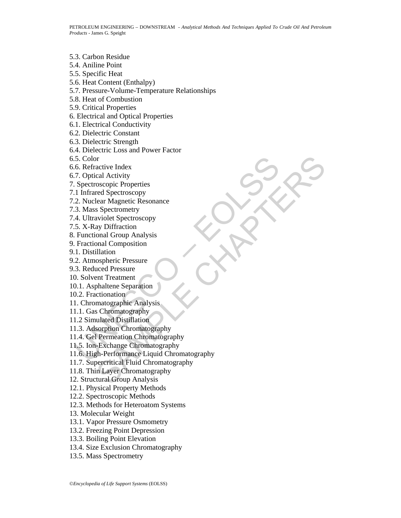5.3. Carbon Residue

5.4. Aniline Point

5.5. Specific Heat

5.6. Heat Content (Enthalpy)

5.7. Pressure-Volume-Temperature Relationships

5.8. Heat of Combustion

5.9. Critical Properties

6. Electrical and Optical Properties

6.1. Electrical Conductivity

6.2. Dielectric Constant

6.3. Dielectric Strength

6.4. Dielectric Loss and Power Factor

6.5. Color

6.6. Refractive Index

6.7. Optical Activity

7. Spectroscopic Properties

7.1 Infrared Spectroscopy

7.2. Nuclear Magnetic Resonance

7.3. Mass Spectrometry

7.4. Ultraviolet Spectroscopy

7.5. X-Ray Diffraction

8. Functional Group Analysis

9. Fractional Composition

9.1. Distillation

9.2. Atmospheric Pressure

9.3. Reduced Pressure

10. Solvent Treatment

10.1. Asphaltene Separation

10.2. Fractionation

11. Chromatographic Analysis

11.1. Gas Chromatography

11.2 Simulated Distillation

11.3. Adsorption Chromatography

11.4. Gel Permeation Chromatography

11.5. Ion-Exchange Chromatography

5. Color<br>
6. Refractive Index<br>
7. Optical Activity<br>
7. Copical Activity<br>
2. Spectroscopic Properties<br>
1 Infrared Spectroscopy<br>
2. Nuclear Magnetic Resonance<br>
4. Ultraviolet Spectroscopy<br>
5. X-Ray Diffraction<br>
4. Ultraviole rective Index<br>
cal Activity<br>
cal Activity<br>
oscopic Properties<br>
elear Magnetic Resonance<br>
s Spectrometry<br>
surblet Spectroscopy<br>
and Group Analysis<br>
and Group Analysis<br>
complement Treatment<br>
complement and Composition<br>
osphe 11.6. High-Performance Liquid Chromatography

11.7. Supercritical Fluid Chromatography

11.8. Thin Layer Chromatography

12. Structural Group Analysis

12.1. Physical Property Methods

12.2. Spectroscopic Methods

12.3. Methods for Heteroatom Systems

13. Molecular Weight

13.1. Vapor Pressure Osmometry

13.2. Freezing Point Depression

13.3. Boiling Point Elevation

13.4. Size Exclusion Chromatography

13.5. Mass Spectrometry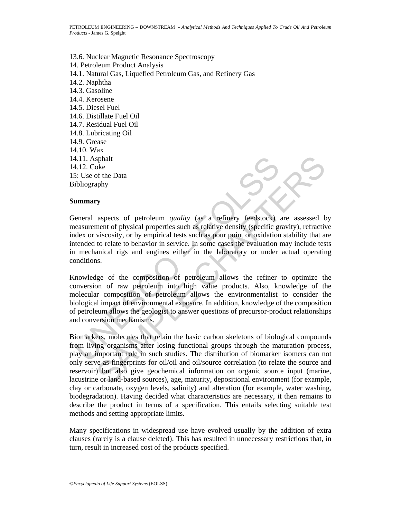13.6. Nuclear Magnetic Resonance Spectroscopy 14. Petroleum Product Analysis 14.1. Natural Gas, Liquefied Petroleum Gas, and Refinery Gas 14.2. Naphtha 14.3. Gasoline 14.4. Kerosene 14.5. Diesel Fuel 14.6. Distillate Fuel Oil 14.7. Residual Fuel Oil 14.8. Lubricating Oil 14.9. Grease 14.10. Wax 14.11. Asphalt 14.12. Coke 15: Use of the Data Bibliography

# **Summary**

General aspects of petroleum *quality* (as a refinery feedstock) are assessed by measurement of physical properties such as relative density (specific gravity), refractive index or viscosity, or by empirical tests such as pour point or oxidation stability that are intended to relate to behavior in service. In some cases the evaluation may include tests in mechanical rigs and engines either in the laboratory or under actual operating conditions.

4.11. Asphalt<br>4.12. Coke<br>5: Use of the Data<br>ibliography<br>ummary<br>ieneral aspects of petroleum *quality* (as a refinery feedstock)<br>easurement of physical properties such as relative density (specific gr<br>dex or viscosity, or b Knowledge of the composition of petroleum allows the refiner to optimize the conversion of raw petroleum into high value products. Also, knowledge of the molecular composition of petroleum allows the environmentalist to consider the biological impact of environmental exposure. In addition, knowledge of the composition of petroleum allows the geologist to answer questions of precursor-product relationships and conversion mechanisms.

Sphalt<br>
Soke<br>
Soke<br>
Soke<br>
Soke<br>
Sof the Data<br>
Sphy<br>
Sphy<br>
Sphy<br>
Sphy<br>
Sphy<br>
Sphy<br>
Sphy<br>
Sphy<br>
Sphy<br>
Sphy<br>
Sphy<br>
Sphy<br>
Sphy<br>
Sphy<br>
Sphy<br>
Sphy<br>
Sphy<br>
Sphy<br>
Sphy<br>
Since Signe Spherical and a spherical and a spherical and a po Biomarkers, molecules that retain the basic carbon skeletons of biological compounds from living organisms after losing functional groups through the maturation process, play an important role in such studies. The distribution of biomarker isomers can not only serve as fingerprints for oil/oil and oil/source correlation (to relate the source and reservoir) but also give geochemical information on organic source input (marine, lacustrine or land-based sources), age, maturity, depositional environment (for example, clay or carbonate, oxygen levels, salinity) and alteration (for example, water washing, biodegradation). Having decided what characteristics are necessary, it then remains to describe the product in terms of a specification. This entails selecting suitable test methods and setting appropriate limits.

Many specifications in widespread use have evolved usually by the addition of extra clauses (rarely is a clause deleted). This has resulted in unnecessary restrictions that, in turn, result in increased cost of the products specified.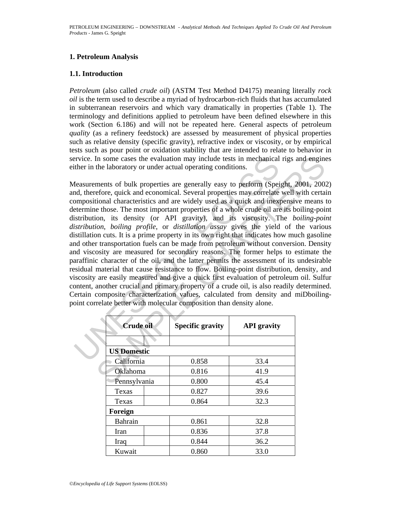# **1. Petroleum Analysis**

### **1.1. Introduction**

*Petroleum* (also called *crude oil*) (ASTM Test Method D4175) meaning literally *rock oil* is the term used to describe a myriad of hydrocarbon-rich fluids that has accumulated in subterranean reservoirs and which vary dramatically in properties (Table 1). The terminology and definitions applied to petroleum have been defined elsewhere in this work (Section 6.186) and will not be repeated here. General aspects of petroleum *quality* (as a refinery feedstock) are assessed by measurement of physical properties such as relative density (specific gravity), refractive index or viscosity, or by empirical tests such as pour point or oxidation stability that are intended to relate to behavior in service. In some cases the evaluation may include tests in mechanical rigs and engines either in the laboratory or under actual operating conditions.

expression and the state of the oil<br>
Experimental Specific Section and Specific Contents of the set of the content<br>
Expectition. The state of the properties are generally easy to perform (Speint)<br>
diately therefore, quick In some cases the evaluation may include tests in mechanical rigs and engine<br>the laboratory or under actual operating conditions.<br>
ments of bulk properties are generally easy to perform (Speight, 2001, 2002<br>
efore, quick Measurements of bulk properties are generally easy to perform (Speight, 2001, 2002) and, therefore, quick and economical. Several properties may correlate well with certain compositional characteristics and are widely used as a quick and inexpensive means to determine those. The most important properties of a whole crude oil are its boiling-point distribution, its density (or API gravity), and its viscosity. The *boiling-point distribution*, *boiling profile*, or *distillation assay* gives the yield of the various distillation cuts. It is a prime property in its own right that indicates how much gasoline and other transportation fuels can be made from petroleum without conversion. Density and viscosity are measured for secondary reasons. The former helps to estimate the paraffinic character of the oil, and the latter permits the assessment of its undesirable residual material that cause resistance to flow. Boiling-point distribution, density, and viscosity are easily measured and give a quick first evaluation of petroleum oil. Sulfur content, another crucial and primary property of a crude oil, is also readily determined. Certain composite characterization values, calculated from density and miDboilingpoint correlate better with molecular composition than density alone.

| <b>Crude oil</b>   | <b>Specific gravity</b> | <b>API</b> gravity |  |
|--------------------|-------------------------|--------------------|--|
|                    |                         |                    |  |
| <b>US Domestic</b> |                         |                    |  |
| California         | 0.858                   | 33.4               |  |
| Oklahoma           | 0.816                   | 41.9               |  |
| Pennsylvania       | 0.800                   | 45.4               |  |
| Texas              | 0.827                   | 39.6               |  |
| Texas              | 0.864                   | 32.3               |  |
| Foreign            |                         |                    |  |
| <b>Bahrain</b>     | 0.861                   | 32.8               |  |
| Iran               | 0.836                   | 37.8               |  |
| Iraq               | 0.844                   | 36.2               |  |
| Kuwait             | 0.860                   | 33.0               |  |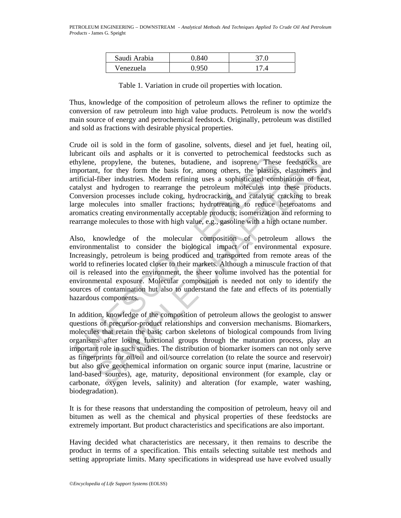| Saudi Arabia | 840 |  |
|--------------|-----|--|
| Venezuela    | u.  |  |

Table 1. Variation in crude oil properties with location.

Thus, knowledge of the composition of petroleum allows the refiner to optimize the conversion of raw petroleum into high value products. Petroleum is now the world's main source of energy and petrochemical feedstock. Originally, petroleum was distilled and sold as fractions with desirable physical properties.

Entrance on a manuspeasar of the controller the proportinual frequenties of the source interestigated comportant, for they form the basis for, among others, the plastics, morportant, for they form the basis for, among othe Crude oil is sold in the form of gasoline, solvents, diesel and jet fuel, heating oil, lubricant oils and asphalts or it is converted to petrochemical feedstocks such as ethylene, propylene, the butenes, butadiene, and isoprene. These feedstocks are important, for they form the basis for, among others, the plastics, elastomers and artificial-fiber industries. Modem refining uses a sophisticated combination of heat, catalyst and hydrogen to rearrange the petroleum molecules into these products. Conversion processes include coking, hydrocracking, and catalytic cracking to break large molecules into smaller fractions; hydrotreating to reduce heteroatoms and aromatics creating environmentally acceptable products; isomerization and reforming to rearrange molecules to those with high value, e.g., gasoline with a high octane number.

Also, knowledge of the molecular composition of petroleum allows the environmentalist to consider the biological impact of environmental exposure. Increasingly, petroleum is being produced and transported from remote areas of the world to refineries located closer to their markets. Although a minuscule fraction of that oil is released into the environment, the sheer volume involved has the potential for environmental exposure. Molecular composition is needed not only to identify the sources of contamination hut also to understand the fate and effects of its potentially hazardous components.

ons an espansa on a is convention of procedurem receases start<br>in the propylene, the butenes, butadiene, and isoprene. These feedspocks and<br>t, for they form the basis for, among others, the plastics, elastomers an<br>fiber in In addition, knowledge of the composition of petroleum allows the geologist to answer questions of precursor-product relationships and conversion mechanisms. Biomarkers, molecules that retain the basic carbon skeletons of biological compounds from living organisms after losing functional groups through the maturation process, play an important role in such studies. The distribution of biomarker isomers can not only serve as fingerprints for oil/oil and oil/source correlation (to relate the source and reservoir) but also give geochemical information on organic source input (marine, lacustrine or land-based sources), age, maturity, depositional environment (for example, clay or carbonate, oxygen levels, salinity) and alteration (for example, water washing, biodegradation).

It is for these reasons that understanding the composition of petroleum, heavy oil and bitumen as well as the chemical and physical properties of these feedstocks are extremely important. But product characteristics and specifications are also important.

Having decided what characteristics are necessary, it then remains to describe the product in terms of a specification. This entails selecting suitable test methods and setting appropriate limits. Many specifications in widespread use have evolved usually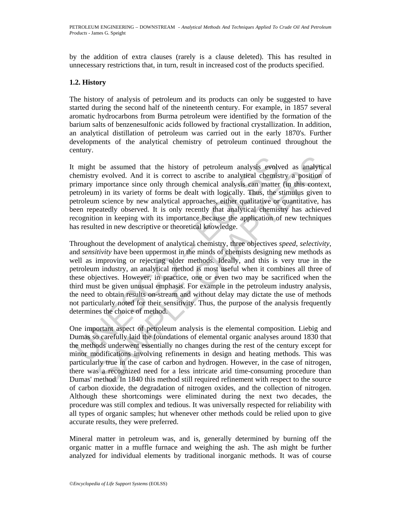by the addition of extra clauses (rarely is a clause deleted). This has resulted in unnecessary restrictions that, in turn, result in increased cost of the products specified.

# **1.2. History**

The history of analysis of petroleum and its products can only be suggested to have started during the second half of the nineteenth century. For example, in 1857 several aromatic hydrocarbons from Burma petroleum were identified by the formation of the barium salts of benzenesulfonic acids followed by fractional crystallization. In addition, an analytical distillation of petroleum was carried out in the early 1870's. Further developments of the analytical chemistry of petroleum continued throughout the century.

It might be assumed that the history of petroleum analysis evolved as analytical chemistry evolved. And it is correct to ascribe to analytical chemistry a position of primary importance since only through chemical analysis can matter (in this context, petroleum) in its variety of forms be dealt with logically. Thus, the stimulus given to petroleum science by new analytical approaches, either qualitative or quantitative, has been repeatedly observed. It is only recently that analytical chemistry has achieved recognition in keeping with its importance because the application of new techniques has resulted in new descriptive or theoretical knowledge.

might be assumed that the history of petroleum analysis evolutions the misity evolved. And it is correct to ascribe to analytical chemistimary importance since only through chemical analysis can matter etroleum) in its var be assumed that the history of petroleum analysis evolved as analyticy evolved. And it is correct to ascribe to analytical chemistry a position importance since only through chemical analysis ean matter (in this contex in Throughout the development of analytical chemistry, three objectives *speed*, *selectivity,* and *sensitivity* have been uppermost in the minds of chemists designing new methods as well as improving or rejecting older methods. Ideally, and this is very true in the petroleum industry, an analytical method is most useful when it combines all three of these objectives. However, in practice, one or even two may be sacrificed when the third must be given unusual emphasis. For example in the petroleum industry analysis, the need to obtain results on-stream and without delay may dictate the use of methods not particularly noted for their sensitivity. Thus, the purpose of the analysis frequently determines the choice of method.

One important aspect of petroleum analysis is the elemental composition. Liebig and Dumas so carefully laid the foundations of elemental organic analyses around 1830 that the methods underwent essentially no changes during the rest of the century except for minor modifications involving refinements in design and heating methods. This was particularly true in the case of carbon and hydrogen. However, in the case of nitrogen, there was a recognized need for a less intricate arid time-consuming procedure than Dumas' method. In 1840 this method still required refinement with respect to the source of carbon dioxide, the degradation of nitrogen oxides, and the collection of nitrogen. Although these shortcomings were eliminated during the next two decades, the procedure was still complex and tedious. It was universally respected for reliability with all types of organic samples; hut whenever other methods could be relied upon to give accurate results, they were preferred.

Mineral matter in petroleum was, and is, generally determined by burning off the organic matter in a muffle furnace and weighing the ash. The ash might be further analyzed for individual elements by traditional inorganic methods. It was of course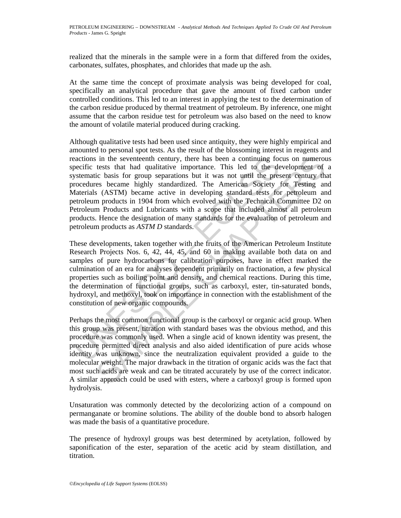realized that the minerals in the sample were in a form that differed from the oxides, carbonates, sulfates, phosphates, and chlorides that made up the ash.

At the same time the concept of proximate analysis was being developed for coal, specifically an analytical procedure that gave the amount of fixed carbon under controlled conditions. This led to an interest in applying the test to the determination of the carbon residue produced by thermal treatment of petroleum. By inference, one might assume that the carbon residue test for petroleum was also based on the need to know the amount of volatile material produced during cracking.

actions in the seventeenth century, there has been a continuing fooecific tests that had qualitative importance. This led to the destystematic basis for group separations but it was not untill the presessementic based roce is in the seventeenth century, there has been a continuing focus on numerous tests that had qualitative importance. This led to the development of the seconductic basis for group separations but it was not until the presen Although qualitative tests had been used since antiquity, they were highly empirical and amounted to personal spot tests. As the result of the blossoming interest in reagents and reactions in the seventeenth century, there has been a continuing focus on numerous specific tests that had qualitative importance. This led to the development of a systematic basis for group separations but it was not until the present century that procedures became highly standardized. The American Society for Testing and Materials (ASTM) became active in developing standard tests for petroleum and petroleum products in 1904 from which evolved with the Technical Committee D2 on Petroleum Products and Lubricants with a scope that included almost all petroleum products. Hence the designation of many standards for the evaluation of petroleum and petroleum products as *ASTM D* standards.

These developments, taken together with the fruits of the American Petroleum Institute Research Projects Nos. 6, 42, 44, 45, and 60 in making available both data on and samples of pure hydrocarbons for calibration purposes, have in effect marked the culmination of an era for analyses dependent primarily on fractionation, a few physical properties such as boiling point and density, and chemical reactions. During this time, the determination of functional groups, such as carboxyl, ester, tin-saturated bonds, hydroxyl, and methoxyl, took on importance in connection with the establishment of the constitution of new organic compounds.

Perhaps the most common functional group is the carboxyl or organic acid group. When this group was present, titration with standard bases was the obvious method, and this procedure was commonly used. When a single acid of known identity was present, the procedure permitted direct analysis and also aided identification of pure acids whose identity was unknown, since the neutralization equivalent provided a guide to the molecular weight. The major drawback in the titration of organic acids was the fact that most such acids are weak and can be titrated accurately by use of the correct indicator. A similar approach could be used with esters, where a carboxyl group is formed upon hydrolysis.

Unsaturation was commonly detected by the decolorizing action of a compound on permanganate or bromine solutions. The ability of the double bond to absorb halogen was made the basis of a quantitative procedure.

The presence of hydroxyl groups was best determined by acetylation, followed by saponification of the ester, separation of the acetic acid by steam distillation, and titration.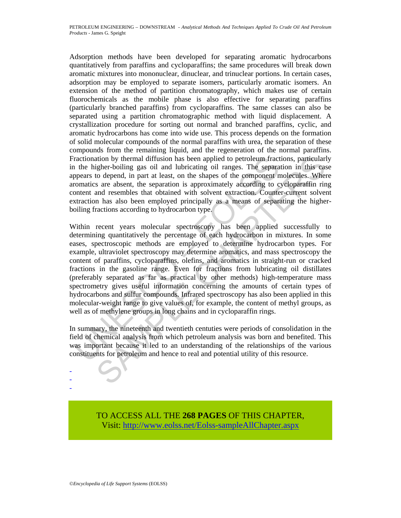Adsorption methods have been developed for separating aromatic hydrocarbons quantitatively from paraffins and cycloparaffins; the same procedures will break down aromatic mixtures into mononuclear, dinuclear, and trinuclear portions. In certain cases, adsorption may be employed to separate isomers, particularly aromatic isomers. An extension of the method of partition chromatography, which makes use of certain fluorochemicals as the mobile phase is also effective for separating paraffins (particularly branched paraffins) from cycloparaffins. The same classes can also be separated using a partition chromatographic method with liquid displacement. A crystallization procedure for sorting out normal and branched paraffins, cyclic, and aromatic hydrocarbons has come into wide use. This process depends on the formation of solid molecular compounds of the normal paraffins with urea, the separation of these compounds from the remaining liquid, and the regeneration of the normal paraffins. Fractionation by thermal diffusion has been applied to petroleum fractions, particularly in the higher-boiling gas oil and lubricating oil ranges. The separation in this case appears to depend, in part at least, on the shapes of the component molecules. Where aromatics are absent, the separation is approximately according to cycloparaffin ring content and resembles that obtained with solvent extraction. Counter-current solvent extraction has also been employed principally as a means of separating the higherboiling fractions according to hydrocarbon type.

ractionation by thermal diffusion has been applied to petroleum fract<br>the higher-boiling gas oil and lubricating oil ranges. The separat<br>popears to depend, in part at least, on the shapes of the component n<br>comatics are ab ition by thermal diffusion has been applied to petroleum fractions, particular<br>ighter-boiling as oil and lubricating oil ranges. The separation in this case<br>to depend, in part at least, on the shapes of the component molec Within recent years molecular spectroscopy has been applied successfully to determining quantitatively the percentage of each hydrocarbon in mixtures. In some eases, spectroscopic methods are employed to determine hydrocarbon types. For example, ultraviolet spectroscopy may determine aromatics, and mass spectroscopy the content of paraffins, cycloparaffins, olefins, and aromatics in straight-run or cracked fractions in the gasoline range. Even for fractions from lubricating oil distillates (preferably separated as far as practical by other methods) high-temperature mass spectrometry gives useful information concerning the amounts of certain types of hydrocarbons and sulfur compounds. Infrared spectroscopy has also been applied in this molecular-weight range to give values of, for example, the content of methyl groups, as well as of methylene groups in long chains and in cycloparaffin rings.

In summary, the nineteenth and twentieth centuties were periods of consolidation in the field of chemical analysis from which petroleum analysis was born and benefited. This was important because it led to an understanding of the relationships of the various constituents for petroleum and hence to real and potential utility of this resource.

- -

-

TO ACCESS ALL THE **268 PAGES** OF THIS CHAPTER, Vis[it: http://www.eolss.net/Eolss-sampleAllChapter.aspx](https://www.eolss.net/ebooklib/sc_cart.aspx?File=E6-185-12)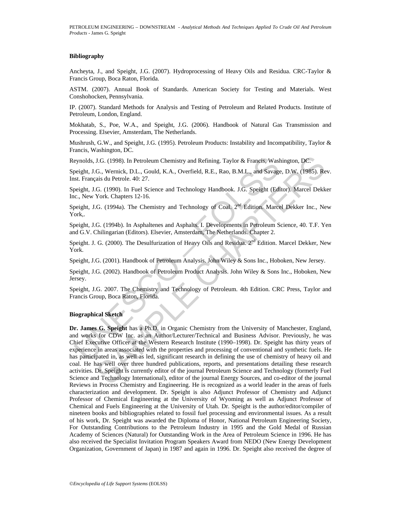#### **Bibliography**

Ancheyta, J., and Speight, J.G. (2007). Hydroprocessing of Heavy Oils and Residua. CRC-Taylor & Francis Group, Boca Raton, Florida.

ASTM. (2007). Annual Book of Standards. American Society for Testing and Materials. West Conshohocken, Pennsylvania.

IP. (2007). Standard Methods for Analysis and Testing of Petroleum and Related Products. Institute of Petroleum, London, England.

Mokhatab, S., Poe, W.A., and Speight, J.G. (2006). Handbook of Natural Gas Transmission and Processing. Elsevier, Amsterdam, The Netherlands.

Mushrush, G.W., and Speight, J.G. (1995). Petroleum Products: Instability and Incompatibility, Taylor & Francis, Washington, DC.

Reynolds, J.G. (1998). In Petroleum Chemistry and Refining. Taylor & Francis, Washington, DC.

Speight, J.G., Wernick, D.L., Gould, K.A., Overfield, R.E., Rao, B.M.L., and Savage, D.W. (1985). Rev. Inst. Français du Petrole. 40: 27.

Speight, J.G. (1990). In Fuel Science and Technology Handbook. J.G. Speight (Editor). Marcel Dekker Inc., New York. Chapters 12-16.

Speight, J.G. (1994a). The Chemistry and Technology of Coal. 2<sup>nd</sup> Edition. Marcel Dekker Inc., New York,.

Speight, J.G. (1994b). In Asphaltenes and Asphalts. I. Developments in Petroleum Science, 40. T.F. Yen and G.V. Chilingarian (Editors). Elsevier, Amsterdam, The Netherlands. Chapter 2.

Speight. J. G. (2000). The Desulfurization of Heavy Oils and Residua. 2<sup>nd</sup> Edition. Marcel Dekker, New York.

Speight, J.G. (2001). Handbook of Petroleum Analysis. John Wiley & Sons Inc., Hoboken, New Jersey.

Speight, J.G. (2002). Handbook of Petroleum Product Analysis. John Wiley & Sons Inc., Hoboken, New Jersey.

Speight, J.G. 2007. The Chemistry and Technology of Petroleum. 4th Edition. CRC Press, Taylor and Francis Group, Boca Raton, Florida.

#### **Biographical Sketch**

eynolds, J.G. (1998). In Petroleum Chemistry and Refining. Taylor & Francis, Washeight, J.G., Wernick, D.L., Gould, K.A., Overfield, R.E., Rao, B.M.L., and Savagest. Français du Petrole. 40: 27.<br>
evigent, J.G. (1994a). In J.G. (1998). In Petroleum Chemistry and Refining. Taylor & Francis, Washington, DC.<br>
G. Wernick, D.L., Gould, K.A., Overfield, R.E., Rao, B.M.L., and Savage, D.W. (1985). Re<br>
ais at Petrole. 40: 27.<br>
G. (1990). In Fuel Sci **Dr. James G. Speight** has a Ph.D. in Organic Chemistry from the University of Manchester, England, and works for CDW Inc. as an Author/Lecturer/Technical and Business Advisor. Previously, he was Chief Executive Officer at the Western Research Institute (1990–1998). Dr. Speight has thirty years of experience in areas associated with the properties and processing of conventional and synthetic fuels. He has participated in, as well as led, significant research in defining the use of chemistry of heavy oil and coal. He has well over three hundred publications, reports, and presentations detailing these research activities. Dr. Speight is currently editor of the journal Petroleum Science and Technology (formerly Fuel Science and Technology International), editor of the journal Energy Sources, and co-editor of the journal Reviews in Process Chemistry and Engineering. He is recognized as a world leader in the areas of fuels characterization and development. Dr. Speight is also Adjunct Professor of Chemistry and Adjunct Professor of Chemical Engineering at the University of Wyoming as well as Adjunct Professor of Chemical and Fuels Engineering at the University of Utah. Dr. Speight is the author/editor/compiler of nineteen books and bibliographies related to fossil fuel processing and environmental issues. As a result of his work, Dr. Speight was awarded the Diploma of Honor, National Petroleum Engineering Society, For Outstanding Contributions to the Petroleum Industry in 1995 and the Gold Medal of Russian Academy of Sciences (Natural) for Outstanding Work in the Area of Petroleum Science in 1996. He has also received the Specialist Invitation Program Speakers Award from NEDO (New Energy Development Organization, Government of Japan) in 1987 and again in 1996. Dr. Speight also received the degree of